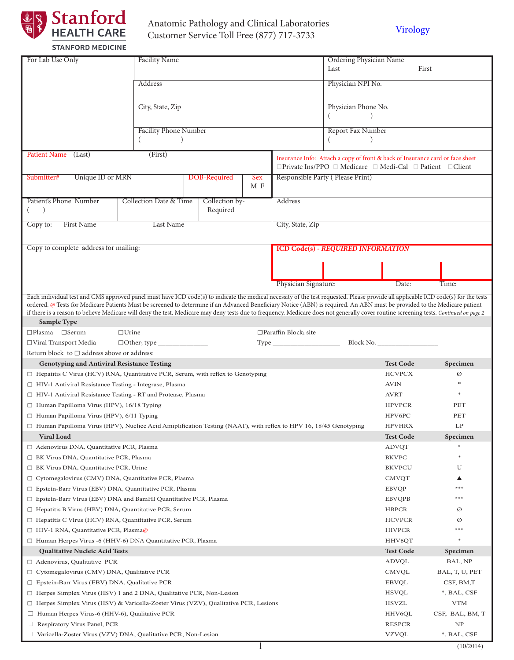

# Anatomic Pathology and Clinical Laboratories Anatomic Pathology and Clinical Laboratories<br>
Customer Service Toll Free (877) 717-3733 [Virology](http://www.stanfordlab.com/esoteric/Virology.html)

| For Lab Use Only                                                                                                                                                                                                                                                                                                                                                   | <b>Facility Name</b>         |  |                |     |                                                                                                                                             | Ordering Physician Name                   |                  |             |
|--------------------------------------------------------------------------------------------------------------------------------------------------------------------------------------------------------------------------------------------------------------------------------------------------------------------------------------------------------------------|------------------------------|--|----------------|-----|---------------------------------------------------------------------------------------------------------------------------------------------|-------------------------------------------|------------------|-------------|
|                                                                                                                                                                                                                                                                                                                                                                    |                              |  |                |     |                                                                                                                                             | First<br>Last                             |                  |             |
|                                                                                                                                                                                                                                                                                                                                                                    | Address                      |  |                |     |                                                                                                                                             | Physician NPI No.                         |                  |             |
|                                                                                                                                                                                                                                                                                                                                                                    |                              |  |                |     |                                                                                                                                             |                                           |                  |             |
|                                                                                                                                                                                                                                                                                                                                                                    | City, State, Zip             |  |                |     |                                                                                                                                             | Physician Phone No.                       |                  |             |
|                                                                                                                                                                                                                                                                                                                                                                    | <b>Facility Phone Number</b> |  |                |     |                                                                                                                                             | Report Fax Number                         |                  |             |
|                                                                                                                                                                                                                                                                                                                                                                    |                              |  |                |     |                                                                                                                                             |                                           |                  |             |
| <b>Patient Name</b><br>(Last)                                                                                                                                                                                                                                                                                                                                      | (First)                      |  |                |     |                                                                                                                                             |                                           |                  |             |
|                                                                                                                                                                                                                                                                                                                                                                    |                              |  |                |     | Insurance Info: Attach a copy of front & back of Insurance card or face sheet<br>□ Private Ins/PPO □ Medicare □ Medi-Cal □ Patient □ Client |                                           |                  |             |
| Unique ID or MRN<br>DOB-Required<br>Submitter#<br>Sex                                                                                                                                                                                                                                                                                                              |                              |  |                |     | Responsible Party (Please Print)                                                                                                            |                                           |                  |             |
|                                                                                                                                                                                                                                                                                                                                                                    |                              |  |                | M F |                                                                                                                                             |                                           |                  |             |
| Patient's Phone Number                                                                                                                                                                                                                                                                                                                                             | Collection Date & Time       |  | Collection by- |     | Address                                                                                                                                     |                                           |                  |             |
| $\left( \right)$                                                                                                                                                                                                                                                                                                                                                   |                              |  | Required       |     |                                                                                                                                             |                                           |                  |             |
| <b>First Name</b><br>Copy to:                                                                                                                                                                                                                                                                                                                                      | Last Name                    |  |                |     | City, State, Zip                                                                                                                            |                                           |                  |             |
|                                                                                                                                                                                                                                                                                                                                                                    |                              |  |                |     |                                                                                                                                             |                                           |                  |             |
| Copy to complete address for mailing:                                                                                                                                                                                                                                                                                                                              |                              |  |                |     |                                                                                                                                             | <b>ICD Code(s) - REQUIRED INFORMATION</b> |                  |             |
|                                                                                                                                                                                                                                                                                                                                                                    |                              |  |                |     |                                                                                                                                             |                                           |                  |             |
|                                                                                                                                                                                                                                                                                                                                                                    |                              |  |                |     |                                                                                                                                             |                                           |                  |             |
|                                                                                                                                                                                                                                                                                                                                                                    |                              |  |                |     |                                                                                                                                             |                                           |                  |             |
|                                                                                                                                                                                                                                                                                                                                                                    |                              |  |                |     | Physician Signature:                                                                                                                        |                                           | Date:            | Time:       |
| Each individual test and CMS approved panel must have ICD code(s) to indicate the medical necessity of the test requested. Please provide all applicable ICD code(s) for the tests                                                                                                                                                                                 |                              |  |                |     |                                                                                                                                             |                                           |                  |             |
| ordered. @ Tests for Medicare Patients Must be screened to determine if an Advanced Beneficiary Notice (ABN) is required. An ABN must be provided to the Medicare patient<br>if there is a reason to believe Medicare will deny the test. Medicare may deny tests due to frequency. Medicare does not generally cover routine screening tests. Continued on page 2 |                              |  |                |     |                                                                                                                                             |                                           |                  |             |
| Sample Type                                                                                                                                                                                                                                                                                                                                                        |                              |  |                |     |                                                                                                                                             |                                           |                  |             |
| $\Box$ Plasma $\Box$ Serum                                                                                                                                                                                                                                                                                                                                         | $\Box$ Urine                 |  |                |     |                                                                                                                                             |                                           |                  |             |
| □Viral Transport Media                                                                                                                                                                                                                                                                                                                                             | $\Box$ Other; type $\Box$    |  |                |     |                                                                                                                                             |                                           |                  |             |
| Return block to $\Box$ address above or address:                                                                                                                                                                                                                                                                                                                   |                              |  |                |     |                                                                                                                                             |                                           |                  |             |
| <b>Genotyping and Antiviral Resistance Testing</b>                                                                                                                                                                                                                                                                                                                 |                              |  |                |     |                                                                                                                                             |                                           | <b>Test Code</b> | Specimen    |
| $\Box$ Hepatitis C Virus (HCV) RNA, Quantitative PCR, Serum, with reflex to Genotyping                                                                                                                                                                                                                                                                             |                              |  |                |     |                                                                                                                                             |                                           | <b>HCVPCX</b>    | Ø           |
| □ HIV-1 Antiviral Resistance Testing - Integrase, Plasma                                                                                                                                                                                                                                                                                                           |                              |  |                |     |                                                                                                                                             |                                           | <b>AVIN</b>      |             |
| $\Box$ HIV-1 Antiviral Resistance Testing - RT and Protease, Plasma                                                                                                                                                                                                                                                                                                |                              |  |                |     |                                                                                                                                             |                                           | <b>AVRT</b>      |             |
| □ Human Papilloma Virus (HPV), 16/18 Typing                                                                                                                                                                                                                                                                                                                        |                              |  |                |     |                                                                                                                                             |                                           | <b>HPVPCR</b>    | <b>PET</b>  |
| $\Box$ Human Papilloma Virus (HPV), 6/11 Typing                                                                                                                                                                                                                                                                                                                    |                              |  |                |     |                                                                                                                                             |                                           | HPV6PC           | PET         |
| $\Box$ Human Papilloma Virus (HPV), Nucliec Acid Amiplification Testing (NAAT), with reflex to HPV 16, 18/45 Genotyping                                                                                                                                                                                                                                            |                              |  |                |     |                                                                                                                                             |                                           | <b>HPVHRX</b>    | LP          |
| <b>Viral Load</b>                                                                                                                                                                                                                                                                                                                                                  |                              |  |                |     |                                                                                                                                             |                                           | <b>Test Code</b> | Specimen    |
| □ Adenovirus DNA, Quantitative PCR, Plasma                                                                                                                                                                                                                                                                                                                         |                              |  |                |     |                                                                                                                                             |                                           | <b>ADVQT</b>     |             |
| □ BK Virus DNA, Quantitative PCR, Plasma                                                                                                                                                                                                                                                                                                                           |                              |  |                |     |                                                                                                                                             |                                           | <b>BKVPC</b>     | $\ast$      |
| □ BK Virus DNA, Quantitative PCR, Urine                                                                                                                                                                                                                                                                                                                            |                              |  |                |     |                                                                                                                                             |                                           | <b>BKVPCU</b>    | U           |
| $\Box$ Cytomegalovirus (CMV) DNA, Quantitative PCR, Plasma                                                                                                                                                                                                                                                                                                         |                              |  |                |     |                                                                                                                                             |                                           | <b>CMVQT</b>     | ▲           |
| $\Box$ Epstein-Barr Virus (EBV) DNA, Quantitative PCR, Plasma                                                                                                                                                                                                                                                                                                      |                              |  |                |     |                                                                                                                                             |                                           | <b>EBVQP</b>     | $***$       |
| $\Box$ Epstein-Barr Virus (EBV) DNA and BamHI Quantitative PCR, Plasma                                                                                                                                                                                                                                                                                             |                              |  |                |     |                                                                                                                                             |                                           | <b>EBVQPB</b>    | $***$       |
| $\Box$ Hepatitis B Virus (HBV) DNA, Quantitative PCR, Serum                                                                                                                                                                                                                                                                                                        |                              |  |                |     |                                                                                                                                             |                                           | <b>HBPCR</b>     | Ø           |
| $\Box$ Hepatitis C Virus (HCV) RNA, Quantitative PCR, Serum                                                                                                                                                                                                                                                                                                        |                              |  |                |     |                                                                                                                                             |                                           | <b>HCVPCR</b>    | Ø           |
| □ HIV-1 RNA, Quantitative PCR, Plasma@                                                                                                                                                                                                                                                                                                                             |                              |  |                |     |                                                                                                                                             | <b>HIVPCR</b>                             | $***$            |             |
| □ Human Herpes Virus -6 (HHV-6) DNA Quantitative PCR, Plasma                                                                                                                                                                                                                                                                                                       |                              |  |                |     |                                                                                                                                             |                                           | HHV6QT           | $\ast$      |
| <b>Qualitative Nucleic Acid Tests</b>                                                                                                                                                                                                                                                                                                                              |                              |  |                |     |                                                                                                                                             |                                           | <b>Test Code</b> | Specimen    |
| $\Box$ Adenovirus, Qualitative PCR                                                                                                                                                                                                                                                                                                                                 |                              |  |                |     |                                                                                                                                             |                                           | ADVQL            | BAL, NP     |
| $\Box$ Cytomegalovirus (CMV) DNA, Qualitative PCR                                                                                                                                                                                                                                                                                                                  |                              |  |                |     | <b>CMVQL</b>                                                                                                                                | BAL, T, U, PET                            |                  |             |
| $\Box$ Epstein-Barr Virus (EBV) DNA, Qualitative PCR                                                                                                                                                                                                                                                                                                               |                              |  |                |     | <b>EBVQL</b>                                                                                                                                | CSF, BM,T                                 |                  |             |
| $\Box$ Herpes Simplex Virus (HSV) 1 and 2 DNA, Qualitative PCR, Non-Lesion                                                                                                                                                                                                                                                                                         |                              |  |                |     |                                                                                                                                             | <b>HSVQL</b>                              | *, BAL, CSF      |             |
| $\Box$ Herpes Simplex Virus (HSV) & Varicella-Zoster Virus (VZV), Qualitative PCR, Lesions                                                                                                                                                                                                                                                                         |                              |  |                |     | <b>HSVZL</b>                                                                                                                                | <b>VTM</b>                                |                  |             |
| $\Box$ Human Herpes Virus-6 (HHV-6), Qualitative PCR                                                                                                                                                                                                                                                                                                               |                              |  |                |     | HHV6QL                                                                                                                                      | CSF, BAL, BM, T                           |                  |             |
| $\Box$ Respiratory Virus Panel, PCR                                                                                                                                                                                                                                                                                                                                |                              |  |                |     | <b>RESPCR</b>                                                                                                                               | NP                                        |                  |             |
| $\Box$ Varicella-Zoster Virus (VZV) DNA, Qualitative PCR, Non-Lesion                                                                                                                                                                                                                                                                                               |                              |  |                |     |                                                                                                                                             |                                           | <b>VZVQL</b>     | *, BAL, CSF |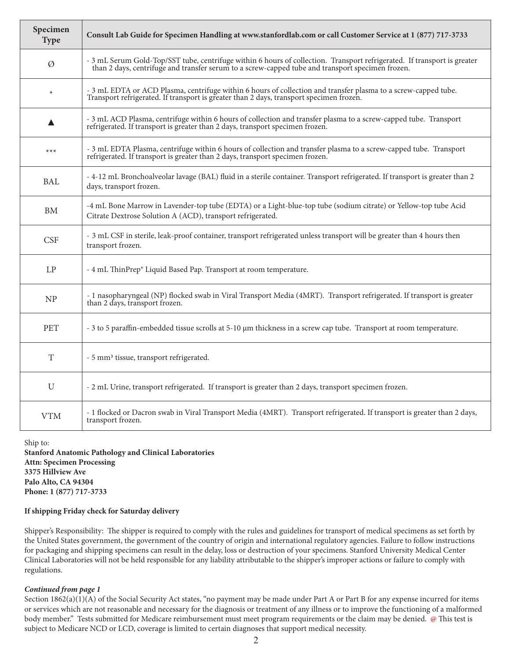| Specimen<br><b>Type</b> | Consult Lab Guide for Specimen Handling at www.stanfordlab.com or call Customer Service at 1 (877) 717-3733                                                                                                                  |
|-------------------------|------------------------------------------------------------------------------------------------------------------------------------------------------------------------------------------------------------------------------|
| Ø                       | - 3 mL Serum Gold-Top/SST tube, centrifuge within 6 hours of collection. Transport refrigerated. If transport is greater<br>than 2 days, centrifuge and transfer serum to a screw-capped tube and transport specimen frozen. |
| $\star$                 | - 3 mL EDTA or ACD Plasma, centrifuge within 6 hours of collection and transfer plasma to a screw-capped tube.<br>Transport refrigerated. If transport is greater than 2 days, transport specimen frozen.                    |
|                         | - 3 mL ACD Plasma, centrifuge within 6 hours of collection and transfer plasma to a screw-capped tube. Transport<br>refrigerated. If transport is greater than 2 days, transport specimen frozen.                            |
| $***$                   | - 3 mL EDTA Plasma, centrifuge within 6 hours of collection and transfer plasma to a screw-capped tube. Transport<br>refrigerated. If transport is greater than 2 days, transport specimen frozen.                           |
| BAL                     | - 4-12 mL Bronchoalveolar lavage (BAL) fluid in a sterile container. Transport refrigerated. If transport is greater than 2<br>days, transport frozen.                                                                       |
| <b>BM</b>               | -4 mL Bone Marrow in Lavender-top tube (EDTA) or a Light-blue-top tube (sodium citrate) or Yellow-top tube Acid<br>Citrate Dextrose Solution A (ACD), transport refrigerated.                                                |
| <b>CSF</b>              | - 3 mL CSF in sterile, leak-proof container, transport refrigerated unless transport will be greater than 4 hours then<br>transport frozen.                                                                                  |
| LP                      | - 4 mL ThinPrep® Liquid Based Pap. Transport at room temperature.                                                                                                                                                            |
| N <sub>P</sub>          | - 1 nasopharyngeal (NP) flocked swab in Viral Transport Media (4MRT). Transport refrigerated. If transport is greater<br>than 2 days, transport frozen.                                                                      |
| <b>PET</b>              | - 3 to 5 paraffin-embedded tissue scrolls at 5-10 µm thickness in a screw cap tube. Transport at room temperature.                                                                                                           |
| T                       | - 5 mm <sup>3</sup> tissue, transport refrigerated.                                                                                                                                                                          |
| U                       | - 2 mL Urine, transport refrigerated. If transport is greater than 2 days, transport specimen frozen.                                                                                                                        |
| <b>VTM</b>              | - 1 flocked or Dacron swab in Viral Transport Media (4MRT). Transport refrigerated. If transport is greater than 2 days,<br>transport frozen.                                                                                |

Ship to:

**Stanford Anatomic Pathology and Clinical Laboratories Attn: Specimen Processing 3375 Hillview Ave Palo Alto, CA 94304 Phone: 1 (877) 717-3733** 

### **If shipping Friday check for Saturday delivery**

Shipper's Responsibility: The shipper is required to comply with the rules and guidelines for transport of medical specimens as set forth by the United States government, the government of the country of origin and international regulatory agencies. Failure to follow instructions for packaging and shipping specimens can result in the delay, loss or destruction of your specimens. Stanford University Medical Center Clinical Laboratories will not be held responsible for any liability attributable to the shipper's improper actions or failure to comply with regulations.

### *Continued from page 1*

Section 1862(a)(1)(A) of the Social Security Act states, "no payment may be made under Part A or Part B for any expense incurred for items or services which are not reasonable and necessary for the diagnosis or treatment of any illness or to improve the functioning of a malformed body member." Tests submitted for Medicare reimbursement must meet program requirements or the claim may be denied. @ This test is subject to Medicare NCD or LCD, coverage is limited to certain diagnoses that support medical necessity.